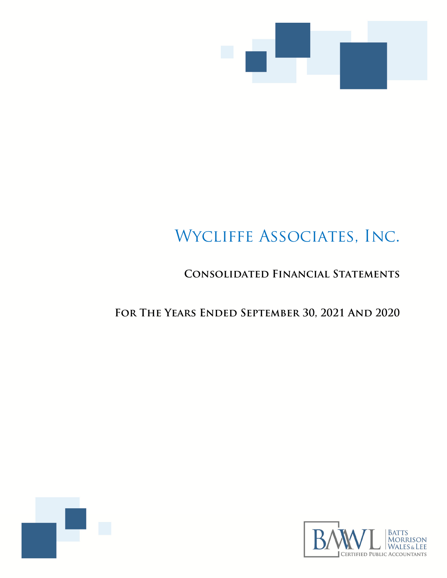

# Wycliffe Associates, Inc.

## **Consolidated Financial Statements**

## **For The Years Ended September 30, 2021 And 2020**



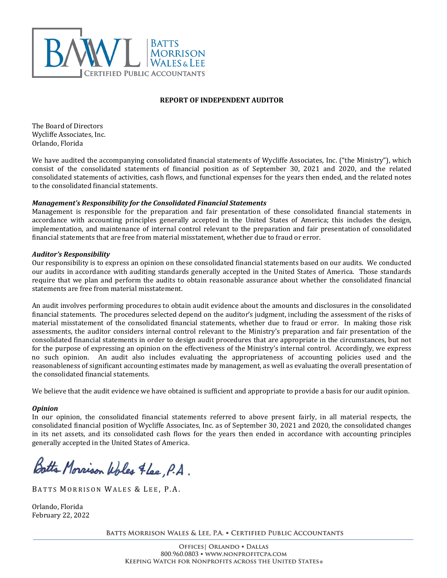

## **REPORT OF INDEPENDENT AUDITOR**

The Board of Directors Wycliffe Associates, Inc. Orlando, Florida

We have audited the accompanying consolidated financial statements of Wycliffe Associates, Inc. ("the Ministry"), which consist of the consolidated statements of financial position as of September 30, 2021 and 2020, and the related consolidated statements of activities, cash flows, and functional expenses for the years then ended, and the related notes to the consolidated financial statements.

## *Management's Responsibility for the Consolidated Financial Statements*

Management is responsible for the preparation and fair presentation of these consolidated financial statements in accordance with accounting principles generally accepted in the United States of America; this includes the design, implementation, and maintenance of internal control relevant to the preparation and fair presentation of consolidated financial statements that are free from material misstatement, whether due to fraud or error.

## *Auditor's Responsibility*

Our responsibility is to express an opinion on these consolidated financial statements based on our audits. We conducted our audits in accordance with auditing standards generally accepted in the United States of America. Those standards require that we plan and perform the audits to obtain reasonable assurance about whether the consolidated financial statements are free from material misstatement.

An audit involves performing procedures to obtain audit evidence about the amounts and disclosures in the consolidated financial statements. The procedures selected depend on the auditor's judgment, including the assessment of the risks of material misstatement of the consolidated financial statements, whether due to fraud or error. In making those risk assessments, the auditor considers internal control relevant to the Ministry's preparation and fair presentation of the consolidated financial statements in order to design audit procedures that are appropriate in the circumstances, but not for the purpose of expressing an opinion on the effectiveness of the Ministry's internal control. Accordingly, we express no such opinion. An audit also includes evaluating the appropriateness of accounting policies used and the reasonableness of significant accounting estimates made by management, as well as evaluating the overall presentation of the consolidated financial statements.

We believe that the audit evidence we have obtained is sufficient and appropriate to provide a basis for our audit opinion.

## *Opinion*

In our opinion, the consolidated financial statements referred to above present fairly, in all material respects, the consolidated financial position of Wycliffe Associates, Inc. as of September 30, 2021 and 2020, the consolidated changes in its net assets, and its consolidated cash flows for the years then ended in accordance with accounting principles generally accepted in the United States of America.

Botts Morrison Woles Flee, P.A.

BATTS MORRISON WALES & LEE, P.A.

Orlando, Florida February 22, 2022

**Batts Morrison Wales & Lee, P.A.** • **Certified Public Accountants**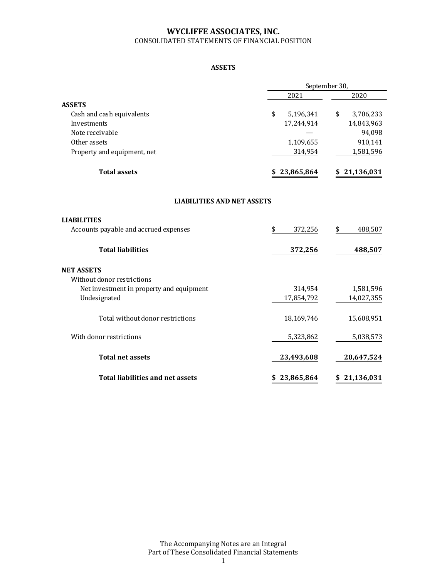## **WYCLIFFE ASSOCIATES, INC.** CONSOLIDATED STATEMENTS OF FINANCIAL POSITION

## **ASSETS**

|                             | September 30.   |                 |  |  |
|-----------------------------|-----------------|-----------------|--|--|
|                             | 2021            | 2020            |  |  |
| <b>ASSETS</b>               |                 |                 |  |  |
| Cash and cash equivalents   | \$<br>5,196,341 | 3,706,233<br>\$ |  |  |
| Investments                 | 17,244,914      | 14,843,963      |  |  |
| Note receivable             |                 | 94,098          |  |  |
| Other assets                | 1,109,655       | 910,141         |  |  |
| Property and equipment, net | 314,954         | 1,581,596       |  |  |
| <b>Total assets</b>         | 23,865,864      | 21,136,031      |  |  |

## **LIABILITIES AND NET ASSETS**

| <b>LIABILITIES</b>                       |                 |               |
|------------------------------------------|-----------------|---------------|
| Accounts payable and accrued expenses    | \$<br>372,256   | 488,507<br>\$ |
| <b>Total liabilities</b>                 | 372,256         | 488,507       |
| <b>NET ASSETS</b>                        |                 |               |
| Without donor restrictions               |                 |               |
| Net investment in property and equipment | 314,954         | 1,581,596     |
| Undesignated                             | 17,854,792      | 14,027,355    |
| Total without donor restrictions         | 18,169,746      | 15,608,951    |
| With donor restrictions                  | 5,323,862       | 5,038,573     |
| <b>Total net assets</b>                  | 23,493,608      | 20,647,524    |
| Total liabilities and net assets         | 23,865,864<br>S | 21,136,031    |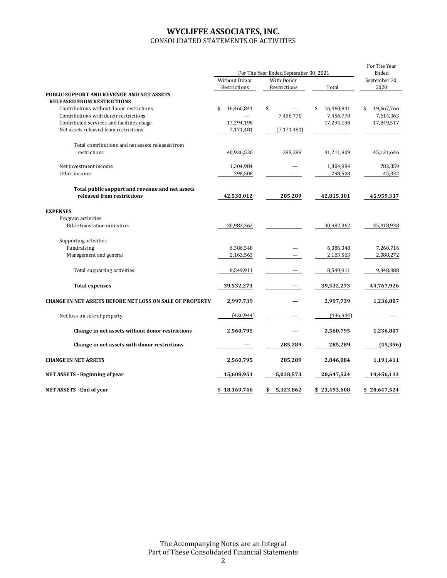## **WYCLIFFE ASSOCIATES, INC.** CONSOLIDATED STATEMENTS OF ACTIVITIES

|                                                                                |                      | For The Year Ended September 30, 2021 |                  |                  |  |  |  |
|--------------------------------------------------------------------------------|----------------------|---------------------------------------|------------------|------------------|--|--|--|
|                                                                                | <b>Without Donor</b> | With Donor                            |                  | September 30,    |  |  |  |
|                                                                                | Restrictions         | Restrictions                          | Total            | 2020             |  |  |  |
| PUBLIC SUPPORT AND REVENUE AND NET ASSETS<br><b>RELEASED FROM RESTRICTIONS</b> |                      |                                       |                  |                  |  |  |  |
| Contributions without donor restrictions                                       | \$<br>16,460,841     | \$                                    | \$<br>16,460,841 | 19,667,766<br>\$ |  |  |  |
| Contributions with donor restrictions                                          |                      | 7,456,770                             | 7,456,770        | 7,614,363        |  |  |  |
| Contributed services and facilities usage                                      | 17,294,198           |                                       | 17,294,198       | 17,849,517       |  |  |  |
| Net assets released from restrictions                                          | 7,171,481            | (7, 171, 481)                         |                  |                  |  |  |  |
| Total contributions and net assets released from                               |                      |                                       |                  |                  |  |  |  |
| restrictions                                                                   | 40,926,520           | 285,289                               | 41,211,809       | 45,131,646       |  |  |  |
| Net investment income                                                          | 1,304,984            |                                       | 1,304,984        | 782,359          |  |  |  |
| Other income                                                                   | 298,508              |                                       | 298,508          | 45,332           |  |  |  |
| Total public support and revenue and net assets                                |                      |                                       |                  |                  |  |  |  |
| released from restrictions                                                     | 42,530,012           | 285,289                               | 42,815,301       | 45,959,337       |  |  |  |
| <b>EXPENSES</b>                                                                |                      |                                       |                  |                  |  |  |  |
| Program activities                                                             |                      |                                       |                  |                  |  |  |  |
| Bible translation ministries                                                   | 30,982,362           |                                       | 30,982,362       | 35,418,938       |  |  |  |
| Supporting activities                                                          |                      |                                       |                  |                  |  |  |  |
| Fundraising                                                                    | 6,386,348            |                                       | 6,386,348        | 7,260,716        |  |  |  |
| Management and general                                                         | 2,163,563            |                                       | 2,163,563        | 2,088,272        |  |  |  |
| Total supporting activities                                                    | 8,549,911            |                                       | 8,549,911        | 9,348,988        |  |  |  |
| <b>Total expenses</b>                                                          | 39,532,273           |                                       | 39,532,273       | 44,767,926       |  |  |  |
| <b>CHANGE IN NET ASSETS BEFORE NET LOSS ON SALE OF PROPERTY</b>                | 2,997,739            |                                       | 2,997,739        | 1,236,807        |  |  |  |
| Net loss on sale of property                                                   | (436, 944)           |                                       | (436,944)        |                  |  |  |  |
| Change in net assets without donor restrictions                                | 2,560,795            |                                       | 2,560,795        | 1,236,807        |  |  |  |
| Change in net assets with donor restrictions                                   |                      | 285,289                               | 285,289          | (45, 396)        |  |  |  |
| <b>CHANGE IN NET ASSETS</b>                                                    | 2,560,795            | 285,289                               | 2,846,084        | 1,191,411        |  |  |  |
| <b>NET ASSETS - Beginning of year</b>                                          | 15,608,951           | 5,038,573                             | 20,647,524       | 19,456,113       |  |  |  |
| <b>NET ASSETS - End of year</b>                                                | \$18,169,746         | 5,323,862<br>\$                       | \$23,493,608     | \$20,647,524     |  |  |  |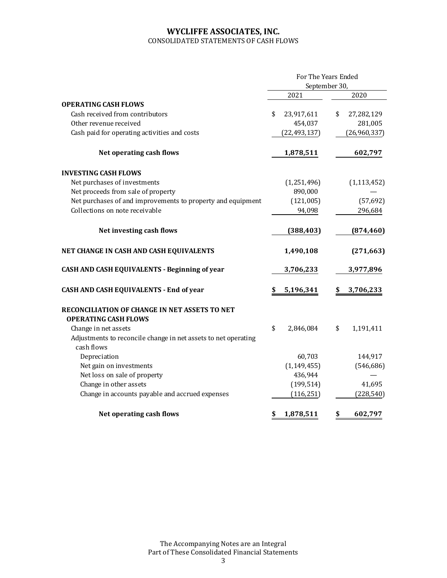## **WYCLIFFE ASSOCIATES, INC.** CONSOLIDATED STATEMENTS OF CASH FLOWS

|                                                                                     | For The Years Ended |                  |  |  |  |
|-------------------------------------------------------------------------------------|---------------------|------------------|--|--|--|
|                                                                                     | September 30,       |                  |  |  |  |
|                                                                                     | 2021                | 2020             |  |  |  |
| <b>OPERATING CASH FLOWS</b>                                                         |                     |                  |  |  |  |
| Cash received from contributors                                                     | \$<br>23,917,611    | \$<br>27,282,129 |  |  |  |
| Other revenue received                                                              | 454,037             | 281,005          |  |  |  |
| Cash paid for operating activities and costs                                        | (22, 493, 137)      | (26,960,337)     |  |  |  |
| Net operating cash flows                                                            | 1,878,511           | 602,797          |  |  |  |
| <b>INVESTING CASH FLOWS</b>                                                         |                     |                  |  |  |  |
| Net purchases of investments                                                        | (1, 251, 496)       | (1, 113, 452)    |  |  |  |
| Net proceeds from sale of property                                                  | 890,000             |                  |  |  |  |
| Net purchases of and improvements to property and equipment                         | (121, 005)          | (57, 692)        |  |  |  |
| Collections on note receivable                                                      | 94,098              | 296,684          |  |  |  |
| Net investing cash flows                                                            | (388, 403)          | (874, 460)       |  |  |  |
| NET CHANGE IN CASH AND CASH EQUIVALENTS                                             | 1,490,108           | (271, 663)       |  |  |  |
| CASH AND CASH EQUIVALENTS - Beginning of year                                       | 3,706,233           | 3,977,896        |  |  |  |
| <b>CASH AND CASH EQUIVALENTS - End of year</b>                                      | 5,196,341<br>\$     | 3,706,233<br>S   |  |  |  |
| <b>RECONCILIATION OF CHANGE IN NET ASSETS TO NET</b><br><b>OPERATING CASH FLOWS</b> |                     |                  |  |  |  |
| Change in net assets                                                                | \$<br>2,846,084     | \$<br>1,191,411  |  |  |  |
| Adjustments to reconcile change in net assets to net operating                      |                     |                  |  |  |  |
| cash flows                                                                          |                     |                  |  |  |  |
| Depreciation                                                                        | 60,703              | 144,917          |  |  |  |
| Net gain on investments                                                             | (1, 149, 455)       | (546, 686)       |  |  |  |
| Net loss on sale of property                                                        | 436,944             |                  |  |  |  |
| Change in other assets                                                              | (199, 514)          | 41,695           |  |  |  |
| Change in accounts payable and accrued expenses                                     | (116, 251)          | (228, 540)       |  |  |  |
| Net operating cash flows                                                            | 1,878,511<br>\$     | \$<br>602,797    |  |  |  |

The Accompanying Notes are an Integral Part of These Consolidated Financial Statements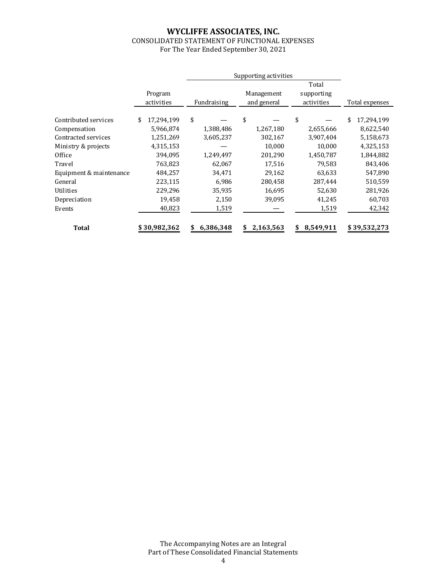## **WYCLIFFE ASSOCIATES, INC.**

## CONSOLIDATED STATEMENT OF FUNCTIONAL EXPENSES

For The Year Ended September 30, 2021

|                         |                  | Supporting activities |             |            |                  |
|-------------------------|------------------|-----------------------|-------------|------------|------------------|
|                         |                  |                       |             | Total      |                  |
|                         | Program          |                       | Management  | supporting |                  |
|                         | activities       | Fundraising           | and general | activities | Total expenses   |
|                         |                  |                       |             |            |                  |
| Contributed services    | 17,294,199<br>\$ | \$                    | \$          | \$         | 17,294,199<br>\$ |
| Compensation            | 5,966,874        | 1,388,486             | 1,267,180   | 2,655,666  | 8,622,540        |
| Contracted services     | 1,251,269        | 3,605,237             | 302,167     | 3,907,404  | 5,158,673        |
| Ministry & projects     | 4,315,153        |                       | 10,000      | 10,000     | 4,325,153        |
| Office                  | 394,095          | 1,249,497             | 201,290     | 1,450,787  | 1,844,882        |
| Travel                  | 763,823          | 62,067                | 17,516      | 79,583     | 843,406          |
| Equipment & maintenance | 484,257          | 34,471                | 29,162      | 63,633     | 547,890          |
| General                 | 223,115          | 6,986                 | 280,458     | 287,444    | 510,559          |
| Utilities               | 229,296          | 35,935                | 16,695      | 52,630     | 281,926          |
| Depreciation            | 19,458           | 2,150                 | 39,095      | 41,245     | 60,703           |
| Events                  | 40,823           | 1,519                 |             | 1,519      | 42,342           |
| <b>Total</b>            | \$30,982,362     | 6,386,348<br>S        | 2,163,563   | 8,549,911  | \$39,532,273     |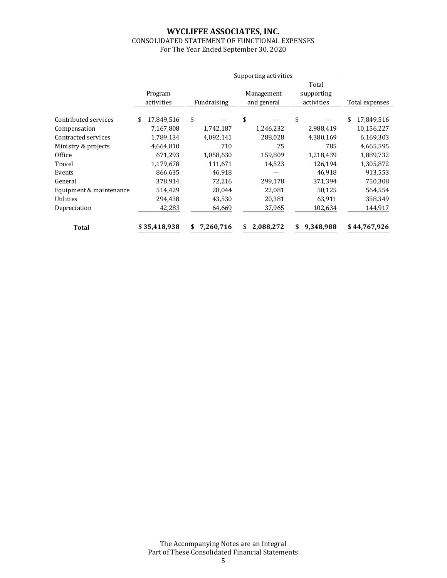## **WYCLIFFE ASSOCIATES, INC.**

## CONSOLIDATED STATEMENT OF FUNCTIONAL EXPENSES

For The Year Ended September 30, 2020

|                         |                  | Supporting activities |             |            |                  |  |  |  |
|-------------------------|------------------|-----------------------|-------------|------------|------------------|--|--|--|
|                         |                  |                       | Total       |            |                  |  |  |  |
|                         | Program          |                       | Management  | supporting |                  |  |  |  |
|                         | activities       | Fundraising           | and general | activities | Total expenses   |  |  |  |
| Contributed services    | 17,849,516<br>\$ | \$                    | \$          | \$         | 17,849,516<br>\$ |  |  |  |
| Compensation            | 7,167,808        | 1,742,187             | 1,246,232   | 2,988,419  | 10,156,227       |  |  |  |
| Contracted services     | 1,789,134        | 4,092,141             | 288,028     | 4,380,169  | 6,169,303        |  |  |  |
| Ministry & projects     | 4,664,810        | 710                   | 75          | 785        | 4,665,595        |  |  |  |
| Office                  | 671,293          | 1,058,630             | 159,809     | 1,218,439  | 1,889,732        |  |  |  |
| Travel                  | 1,179,678        | 111,671               | 14,523      | 126,194    | 1,305,872        |  |  |  |
| Events                  | 866,635          | 46,918                |             | 46,918     | 913,553          |  |  |  |
| General                 | 378,914          | 72,216                | 299,178     | 371,394    | 750,308          |  |  |  |
| Equipment & maintenance | 514,429          | 28,044                | 22,081      | 50,125     | 564,554          |  |  |  |
| Utilities               | 294,438          | 43,530                | 20,381      | 63,911     | 358,349          |  |  |  |
| Depreciation            | 42,283           | 64,669                | 37,965      | 102,634    | 144,917          |  |  |  |
| <b>Total</b>            | \$35,418,938     | 7,260,716<br>\$       | 2,088,272   | 9,348,988  | \$44,767,926     |  |  |  |

The Accompanying Notes are an Integral Part of These Consolidated Financial Statements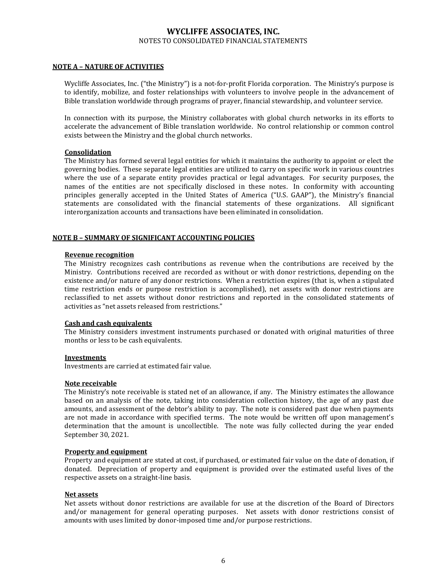## **NOTE A – NATURE OF ACTIVITIES**

Wycliffe Associates, Inc. ("the Ministry") is a not-for-profit Florida corporation. The Ministry's purpose is to identify, mobilize, and foster relationships with volunteers to involve people in the advancement of Bible translation worldwide through programs of prayer, financial stewardship, and volunteer service.

In connection with its purpose, the Ministry collaborates with global church networks in its efforts to accelerate the advancement of Bible translation worldwide. No control relationship or common control exists between the Ministry and the global church networks.

## **Consolidation**

The Ministry has formed several legal entities for which it maintains the authority to appoint or elect the governing bodies. These separate legal entities are utilized to carry on specific work in various countries where the use of a separate entity provides practical or legal advantages. For security purposes, the names of the entities are not specifically disclosed in these notes. In conformity with accounting principles generally accepted in the United States of America ("U.S. GAAP"), the Ministry's financial statements are consolidated with the financial statements of these organizations. All significant interorganization accounts and transactions have been eliminated in consolidation.

## **NOTE B – SUMMARY OF SIGNIFICANT ACCOUNTING POLICIES**

## **Revenue recognition**

The Ministry recognizes cash contributions as revenue when the contributions are received by the Ministry. Contributions received are recorded as without or with donor restrictions, depending on the existence and/or nature of any donor restrictions. When a restriction expires (that is, when a stipulated time restriction ends or purpose restriction is accomplished), net assets with donor restrictions are reclassified to net assets without donor restrictions and reported in the consolidated statements of activities as "net assets released from restrictions."

## **Cash and cash equivalents**

The Ministry considers investment instruments purchased or donated with original maturities of three months or less to be cash equivalents.

#### **Investments**

Investments are carried at estimated fair value.

#### **Note receivable**

The Ministry's note receivable is stated net of an allowance, if any. The Ministry estimates the allowance based on an analysis of the note, taking into consideration collection history, the age of any past due amounts, and assessment of the debtor's ability to pay. The note is considered past due when payments are not made in accordance with specified terms. The note would be written off upon management's determination that the amount is uncollectible. The note was fully collected during the year ended September 30, 2021.

## **Property and equipment**

Property and equipment are stated at cost, if purchased, or estimated fair value on the date of donation, if donated. Depreciation of property and equipment is provided over the estimated useful lives of the respective assets on a straight-line basis.

#### **Net assets**

Net assets without donor restrictions are available for use at the discretion of the Board of Directors and/or management for general operating purposes. Net assets with donor restrictions consist of amounts with uses limited by donor-imposed time and/or purpose restrictions.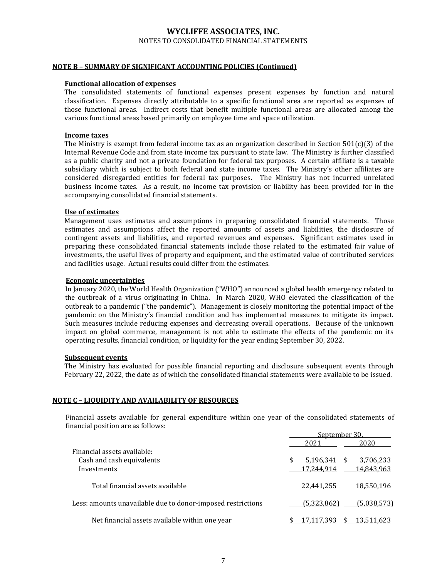## **NOTE B – SUMMARY OF SIGNIFICANT ACCOUNTING POLICIES (Continued)**

## **Functional allocation of expenses**

The consolidated statements of functional expenses present expenses by function and natural classification. Expenses directly attributable to a specific functional area are reported as expenses of those functional areas. Indirect costs that benefit multiple functional areas are allocated among the various functional areas based primarily on employee time and space utilization.

## **Income taxes**

The Ministry is exempt from federal income tax as an organization described in Section  $501(c)(3)$  of the Internal Revenue Code and from state income tax pursuant to state law. The Ministry is further classified as a public charity and not a private foundation for federal tax purposes. A certain affiliate is a taxable subsidiary which is subject to both federal and state income taxes. The Ministry's other affiliates are considered disregarded entities for federal tax purposes. The Ministry has not incurred unrelated business income taxes. As a result, no income tax provision or liability has been provided for in the accompanying consolidated financial statements.

## **Use of estimates**

Management uses estimates and assumptions in preparing consolidated financial statements. Those estimates and assumptions affect the reported amounts of assets and liabilities, the disclosure of contingent assets and liabilities, and reported revenues and expenses. Significant estimates used in preparing these consolidated financial statements include those related to the estimated fair value of investments, the useful lives of property and equipment, and the estimated value of contributed services and facilities usage. Actual results could differ from the estimates.

#### **Economic uncertainties**

In January 2020, the World Health Organization ("WHO") announced a global health emergency related to the outbreak of a virus originating in China. In March 2020, WHO elevated the classification of the outbreak to a pandemic ("the pandemic"). Management is closely monitoring the potential impact of the pandemic on the Ministry's financial condition and has implemented measures to mitigate its impact. Such measures include reducing expenses and decreasing overall operations. Because of the unknown impact on global commerce, management is not able to estimate the effects of the pandemic on its operating results, financial condition, or liquidity for the year ending September 30, 2022.

## **Subsequent events**

The Ministry has evaluated for possible financial reporting and disclosure subsequent events through February 22, 2022, the date as of which the consolidated financial statements were available to be issued.

## **NOTE C – LIQUIDITY AND AVAILABILITY OF RESOURCES**

Financial assets available for general expenditure within one year of the consolidated statements of financial position are as follows:  $\overline{S}$   $\overline{S}$   $\overline{S}$   $\overline{S}$   $\overline{S}$   $\overline{S}$   $\overline{S}$   $\overline{S}$   $\overline{S}$   $\overline{S}$   $\overline{S}$   $\overline{S}$   $\overline{S}$   $\overline{S}$   $\overline{S}$   $\overline{S}$   $\overline{S}$   $\overline{S}$   $\overline{S}$   $\overline{S}$   $\overline{S}$   $\overline{S}$   $\overline{S}$   $\overline{S}$   $\overline{$ 

|                                                             | September 30, |                    |
|-------------------------------------------------------------|---------------|--------------------|
|                                                             | 2021          | 2020               |
| Financial assets available:                                 |               |                    |
| Cash and cash equivalents                                   | 5,196,341 \$  | 3,706,233          |
| Investments                                                 | 17,244,914    | 14,843,963         |
| Total financial assets available                            | 22,441,255    | 18,550,196         |
| Less: amounts unavailable due to donor-imposed restrictions | (5,323,862)   | <u>(5,038,573)</u> |
| Net financial assets available within one year              | .117,393      | 13,511,623         |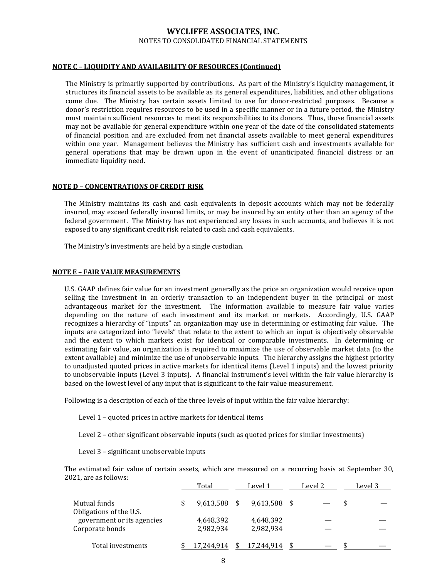## **NOTE C – LIQUIDITY AND AVAILABILITY OF RESOURCES (Continued)**

The Ministry is primarily supported by contributions. As part of the Ministry's liquidity management, it structures its financial assets to be available as its general expenditures, liabilities, and other obligations come due. The Ministry has certain assets limited to use for donor-restricted purposes. Because a donor's restriction requires resources to be used in a specific manner or in a future period, the Ministry must maintain sufficient resources to meet its responsibilities to its donors. Thus, those financial assets may not be available for general expenditure within one year of the date of the consolidated statements of financial position and are excluded from net financial assets available to meet general expenditures within one year. Management believes the Ministry has sufficient cash and investments available for general operations that may be drawn upon in the event of unanticipated financial distress or an immediate liquidity need.

## **NOTE D – CONCENTRATIONS OF CREDIT RISK**

The Ministry maintains its cash and cash equivalents in deposit accounts which may not be federally insured, may exceed federally insured limits, or may be insured by an entity other than an agency of the federal government. The Ministry has not experienced any losses in such accounts, and believes it is not exposed to any significant credit risk related to cash and cash equivalents.

The Ministry's investments are held by a single custodian.

## **NOTE E – FAIR VALUE MEASUREMENTS**

U.S. GAAP defines fair value for an investment generally as the price an organization would receive upon selling the investment in an orderly transaction to an independent buyer in the principal or most advantageous market for the investment. The information available to measure fair value varies depending on the nature of each investment and its market or markets. Accordingly, U.S. GAAP recognizes a hierarchy of "inputs" an organization may use in determining or estimating fair value. The inputs are categorized into "levels" that relate to the extent to which an input is objectively observable and the extent to which markets exist for identical or comparable investments. In determining or estimating fair value, an organization is required to maximize the use of observable market data (to the extent available) and minimize the use of unobservable inputs. The hierarchy assigns the highest priority to unadjusted quoted prices in active markets for identical items (Level 1 inputs) and the lowest priority to unobservable inputs (Level 3 inputs). A financial instrument's level within the fair value hierarchy is based on the lowest level of any input that is significant to the fair value measurement.

Following is a description of each of the three levels of input within the fair value hierarchy:

- Level 1 quoted prices in active markets for identical items
- Level 2 other significant observable inputs (such as quoted prices for similar investments)
- Level 3 significant unobservable inputs

The estimated fair value of certain assets, which are measured on a recurring basis at September 30, 2021, are as follows:

|                                               | Total                  | Level 1                | Level 2 |   | Level 3 |
|-----------------------------------------------|------------------------|------------------------|---------|---|---------|
| Mutual funds<br>Obligations of the U.S.       | $9,613,588$ \$         | $9,613,588$ \$         |         | S |         |
| government or its agencies<br>Corporate bonds | 4,648,392<br>2,982,934 | 4,648,392<br>2.982.934 |         |   |         |
| Total investments                             | .244.914               | 17.244.914             |         |   |         |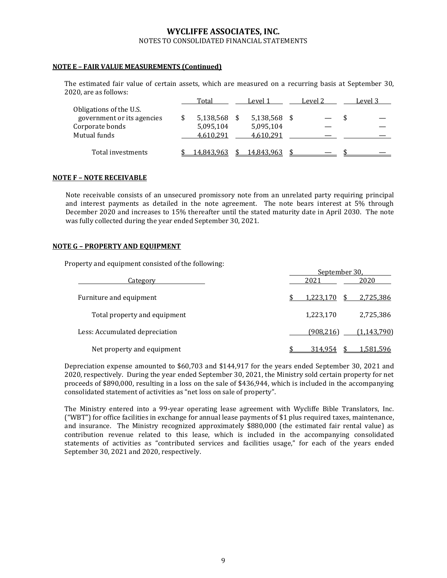## **NOTE E – FAIR VALUE MEASUREMENTS (Continued)**

The estimated fair value of certain assets, which are measured on a recurring basis at September 30, 2020, are as follows:

|                                                       | Total                  | Level 1                | Level 2 | Level 3 |
|-------------------------------------------------------|------------------------|------------------------|---------|---------|
| Obligations of the U.S.<br>government or its agencies | 5,138,568 \$           | 5,138,568 \$           |         |         |
| Corporate bonds<br>Mutual funds                       | 5,095,104<br>4,610,291 | 5,095,104<br>4.610.291 |         |         |
| Total investments                                     | 14,843,963             | 14.843.963             |         |         |

## **NOTE F – NOTE RECEIVABLE**

Note receivable consists of an unsecured promissory note from an unrelated party requiring principal and interest payments as detailed in the note agreement. The note bears interest at 5% through December 2020 and increases to 15% thereafter until the stated maturity date in April 2030. The note was fully collected during the year ended September 30, 2021.

## **NOTE G – PROPERTY AND EQUIPMENT**

Property and equipment consisted of the following:

|                                | September 30.             |
|--------------------------------|---------------------------|
| Category                       | 2020<br>2021              |
| Furniture and equipment        | 1,223,170<br>2,725,386    |
| Total property and equipment   | 1,223,170<br>2,725,386    |
| Less: Accumulated depreciation | (1,143,790)<br>(908, 216) |
| Net property and equipment     | 1,581,596<br>314.954      |

Depreciation expense amounted to \$60,703 and \$144,917 for the years ended September 30, 2021 and 2020, respectively. During the year ended September 30, 2021, the Ministry sold certain property for net proceeds of \$890,000, resulting in a loss on the sale of \$436,944, which is included in the accompanying consolidated statement of activities as "net loss on sale of property".

The Ministry entered into a 99-year operating lease agreement with Wycliffe Bible Translators, Inc. ("WBT") for office facilities in exchange for annual lease payments of \$1 plus required taxes, maintenance, and insurance. The Ministry recognized approximately \$880,000 (the estimated fair rental value) as contribution revenue related to this lease, which is included in the accompanying consolidated statements of activities as "contributed services and facilities usage," for each of the years ended September 30, 2021 and 2020, respectively.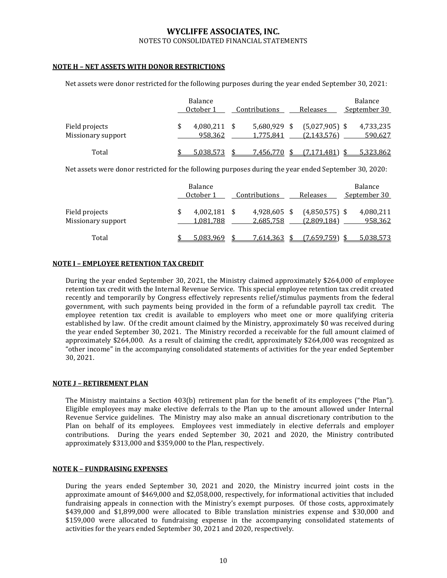## **NOTE H – NET ASSETS WITH DONOR RESTRICTIONS**

Net assets were donor restricted for the following purposes during the year ended September 30, 2021:

|                                      | Balance<br>October 1      | Contributions               | Releases                          | Balance<br><u>September 30</u> |
|--------------------------------------|---------------------------|-----------------------------|-----------------------------------|--------------------------------|
| Field projects<br>Missionary support | $4,080,211$ \$<br>958,362 | $5,680,929$ \$<br>1,775,841 | $(5,027,905)$ \$<br>(2, 143, 576) | 4,733,235<br>590,627           |
| Total                                | 5,038,573                 | 7,456,770                   | (7,171,481)                       | 5,323,862                      |

Net assets were donor restricted for the following purposes during the year ended September 30, 2020:

|                                      | Balance<br>October 1   | Contributions             | Releases                        | Balance<br>September 30 |
|--------------------------------------|------------------------|---------------------------|---------------------------------|-------------------------|
| Field projects<br>Missionary support | 4,002,181<br>1,081,788 | 4,928,605 \$<br>2,685,758 | $(4,850,575)$ \$<br>(2,809,184) | 4,080,211<br>958,362    |
| Total                                | 5.083.969              | 7,614,363                 | (7.659.759)                     | 5.038.573               |

## **NOTE I – EMPLOYEE RETENTION TAX CREDIT**

During the year ended September 30, 2021, the Ministry claimed approximately \$264,000 of employee retention tax credit with the Internal Revenue Service. This special employee retention tax credit created recently and temporarily by Congress effectively represents relief/stimulus payments from the federal government, with such payments being provided in the form of a refundable payroll tax credit. The employee retention tax credit is available to employers who meet one or more qualifying criteria established by law. Of the credit amount claimed by the Ministry, approximately \$0 was received during the year ended September 30, 2021. The Ministry recorded a receivable for the full amount claimed of approximately \$264,000. As a result of claiming the credit, approximately \$264,000 was recognized as "other income" in the accompanying consolidated statements of activities for the year ended September 30, 2021.

## **NOTE** J **– RETIREMENT PLAN**

The Ministry maintains a Section 403(b) retirement plan for the benefit of its employees ("the Plan"). Eligible employees may make elective deferrals to the Plan up to the amount allowed under Internal Revenue Service guidelines. The Ministry may also make an annual discretionary contribution to the Plan on behalf of its employees. Employees vest immediately in elective deferrals and employer contributions. During the years ended September 30, 2021 and 2020, the Ministry contributed approximately \$313,000 and \$359,000 to the Plan, respectively.

## **NOTE K – FUNDRAISING EXPENSES**

During the years ended September 30, 2021 and 2020, the Ministry incurred joint costs in the approximate amount of \$469,000 and \$2,058,000, respectively, for informational activities that included fundraising appeals in connection with the Ministry's exempt purposes. Of those costs, approximately \$439,000 and \$1,899,000 were allocated to Bible translation ministries expense and \$30,000 and \$159,000 were allocated to fundraising expense in the accompanying consolidated statements of activities for the years ended September 30, 2021 and 2020, respectively.